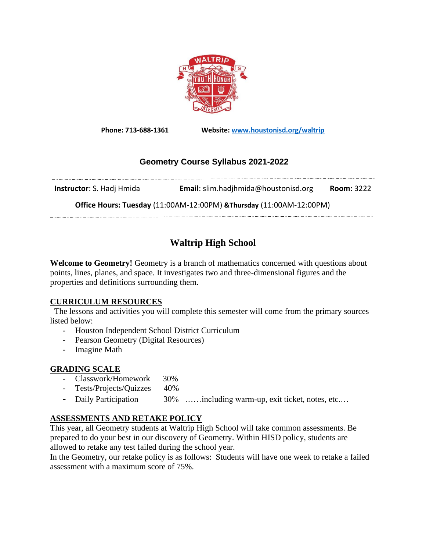

**Phone: 713-688-1361 Website: [www.houstonisd.org/waltrip](http://www.houstonisd.org/waltrip)**

## **Geometry Course Syllabus 2021-2022**

**Instructor**: S. Hadj Hmida **Email**: slim.hadjhmida@houstonisd.org **Room**: 3222

**Office Hours: Tuesday** (11:00AM-12:00PM) **&Thursday** (11:00AM-12:00PM) 

# **Waltrip High School**

**Welcome to Geometry!** Geometry is a branch of mathematics concerned with questions about points, lines, planes, and space. It investigates two and three-dimensional figures and the properties and definitions surrounding them.

## **CURRICULUM RESOURCES**

 The lessons and activities you will complete this semester will come from the primary sources listed below:

- Houston Independent School District Curriculum
- Pearson Geometry (Digital Resources)
- Imagine Math

## **GRADING SCALE**

- Classwork/Homework 30%
- Tests/Projects/Quizzes 40%
- Daily Participation 30% ……including warm-up, exit ticket, notes, etc....

## **ASSESSMENTS AND RETAKE POLICY**

This year, all Geometry students at Waltrip High School will take common assessments. Be prepared to do your best in our discovery of Geometry. Within HISD policy, students are allowed to retake any test failed during the school year.

In the Geometry, our retake policy is as follows: Students will have one week to retake a failed assessment with a maximum score of 75%.